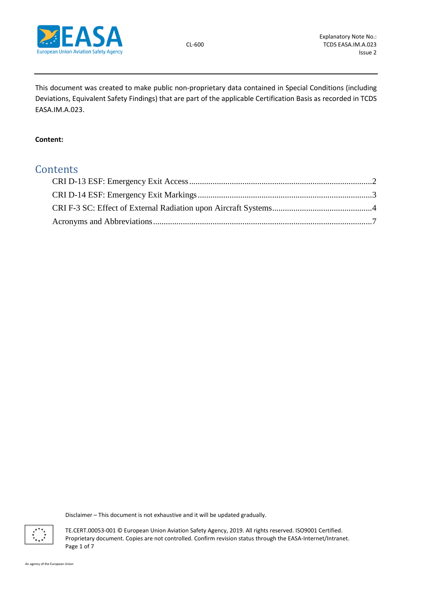

This document was created to make public non-proprietary data contained in Special Conditions (including Deviations, Equivalent Safety Findings) that are part of the applicable Certification Basis as recorded in TCDS EASA.IM.A.023.

# **Content:**

# **Contents**

Disclaimer – This document is not exhaustive and it will be updated gradually.



TE.CERT.00053-001 © European Union Aviation Safety Agency, 2019. All rights reserved. ISO9001 Certified. Proprietary document. Copies are not controlled. Confirm revision status through the EASA-Internet/Intranet. Page 1 of 7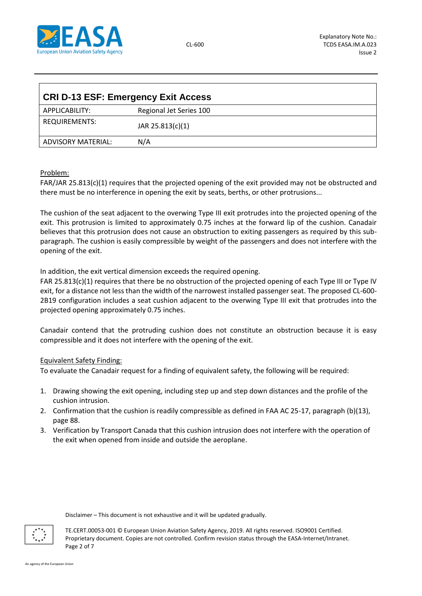

<span id="page-1-0"></span>

| <b>CRI D-13 ESF: Emergency Exit Access</b> |                         |  |  |
|--------------------------------------------|-------------------------|--|--|
| APPLICABILITY:                             | Regional Jet Series 100 |  |  |
| REQUIREMENTS:                              | JAR 25.813(c)(1)        |  |  |
| ADVISORY MATERIAL:                         | N/A                     |  |  |

# Problem:

FAR/JAR 25.813(c)(1) requires that the projected opening of the exit provided may not be obstructed and there must be no interference in opening the exit by seats, berths, or other protrusions...

The cushion of the seat adjacent to the overwing Type III exit protrudes into the projected opening of the exit. This protrusion is limited to approximately 0.75 inches at the forward lip of the cushion. Canadair believes that this protrusion does not cause an obstruction to exiting passengers as required by this subparagraph. The cushion is easily compressible by weight of the passengers and does not interfere with the opening of the exit.

In addition, the exit vertical dimension exceeds the required opening.

FAR 25.813(c)(1) requires that there be no obstruction of the projected opening of each Type III or Type IV exit, for a distance not less than the width of the narrowest installed passenger seat. The proposed CL-600- 2B19 configuration includes a seat cushion adjacent to the overwing Type III exit that protrudes into the projected opening approximately 0.75 inches.

Canadair contend that the protruding cushion does not constitute an obstruction because it is easy compressible and it does not interfere with the opening of the exit.

## Equivalent Safety Finding:

To evaluate the Canadair request for a finding of equivalent safety, the following will be required:

- 1. Drawing showing the exit opening, including step up and step down distances and the profile of the cushion intrusion.
- 2. Confirmation that the cushion is readily compressible as defined in FAA AC 25-17, paragraph (b)(13), page 88.
- 3. Verification by Transport Canada that this cushion intrusion does not interfere with the operation of the exit when opened from inside and outside the aeroplane.

Disclaimer – This document is not exhaustive and it will be updated gradually.



TE.CERT.00053-001 © European Union Aviation Safety Agency, 2019. All rights reserved. ISO9001 Certified. Proprietary document. Copies are not controlled. Confirm revision status through the EASA-Internet/Intranet. Page 2 of 7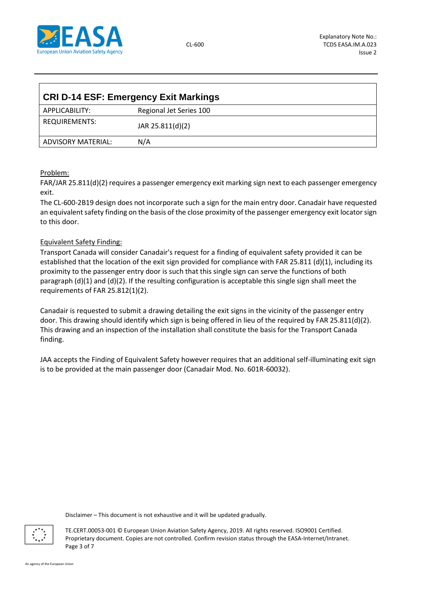

<span id="page-2-0"></span>

| <b>CRI D-14 ESF: Emergency Exit Markings</b> |                         |  |  |
|----------------------------------------------|-------------------------|--|--|
| APPLICABILITY:                               | Regional Jet Series 100 |  |  |
| REQUIREMENTS:                                | JAR 25.811(d)(2)        |  |  |
| ADVISORY MATERIAL:                           | N/A                     |  |  |

# Problem:

FAR/JAR 25.811(d)(2) requires a passenger emergency exit marking sign next to each passenger emergency exit.

The CL-600-2B19 design does not incorporate such a sign for the main entry door. Canadair have requested an equivalent safety finding on the basis of the close proximity of the passenger emergency exit locator sign to this door.

# Equivalent Safety Finding:

Transport Canada will consider Canadair's request for a finding of equivalent safety provided it can be established that the location of the exit sign provided for compliance with FAR 25.811 (d)(1), including its proximity to the passenger entry door is such that this single sign can serve the functions of both paragraph (d)(1) and (d)(2). If the resulting configuration is acceptable this single sign shall meet the requirements of FAR 25.812(1)(2).

Canadair is requested to submit a drawing detailing the exit signs in the vicinity of the passenger entry door. This drawing should identify which sign is being offered in lieu of the required by FAR 25.811(d)(2). This drawing and an inspection of the installation shall constitute the basis for the Transport Canada finding.

JAA accepts the Finding of Equivalent Safety however requires that an additional self-illuminating exit sign is to be provided at the main passenger door (Canadair Mod. No. 601R-60032).

Disclaimer – This document is not exhaustive and it will be updated gradually.



TE.CERT.00053-001 © European Union Aviation Safety Agency, 2019. All rights reserved. ISO9001 Certified. Proprietary document. Copies are not controlled. Confirm revision status through the EASA-Internet/Intranet. Page 3 of 7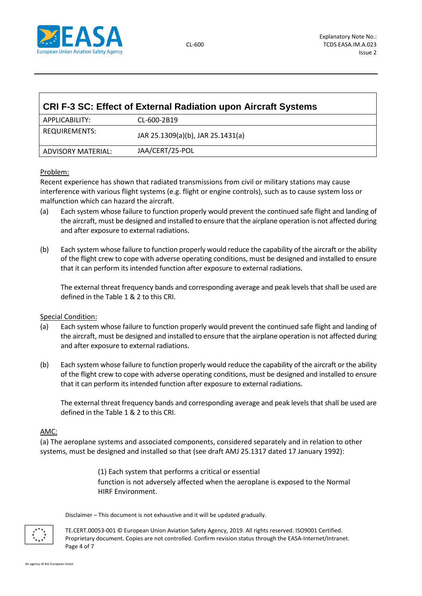

<span id="page-3-0"></span>

| <b>CRI F-3 SC: Effect of External Radiation upon Aircraft Systems</b> |                                   |  |  |  |
|-----------------------------------------------------------------------|-----------------------------------|--|--|--|
| APPLICABILITY:                                                        | CL-600-2B19                       |  |  |  |
| REQUIREMENTS:                                                         | JAR 25.1309(a)(b), JAR 25.1431(a) |  |  |  |
| ADVISORY MATERIAL:                                                    | JAA/CERT/25-POL                   |  |  |  |

# Problem:

Recent experience has shown that radiated transmissions from civil or military stations may cause interference with various flight systems (e.g. flight or engine controls), such as to cause system loss or malfunction which can hazard the aircraft.

- (a) Each system whose failure to function properly would prevent the continued safe flight and landing of the aircraft, must be designed and installed to ensure that the airplane operation is not affected during and after exposure to external radiations.
- (b) Each system whose failure to function properly would reduce the capability of the aircraft or the ability of the flight crew to cope with adverse operating conditions, must be designed and installed to ensure that it can perform its intended function after exposure to external radiations.

The external threat frequency bands and corresponding average and peak levels that shall be used are defined in the Table 1 & 2 to this CRI.

## Special Condition:

- (a) Each system whose failure to function properly would prevent the continued safe flight and landing of the aircraft, must be designed and installed to ensure that the airplane operation is not affected during and after exposure to external radiations.
- (b) Each system whose failure to function properly would reduce the capability of the aircraft or the ability of the flight crew to cope with adverse operating conditions, must be designed and installed to ensure that it can perform its intended function after exposure to external radiations.

The external threat frequency bands and corresponding average and peak levels that shall be used are defined in the Table 1 & 2 to this CRI.

## AMC:

(a) The aeroplane systems and associated components, considered separately and in relation to other systems, must be designed and installed so that (see draft AMJ 25.1317 dated 17 January 1992):

> (1) Each system that performs a critical or essential function is not adversely affected when the aeroplane is exposed to the Normal HIRF Environment.

Disclaimer – This document is not exhaustive and it will be updated gradually.



TE.CERT.00053-001 © European Union Aviation Safety Agency, 2019. All rights reserved. ISO9001 Certified. Proprietary document. Copies are not controlled. Confirm revision status through the EASA-Internet/Intranet. Page 4 of 7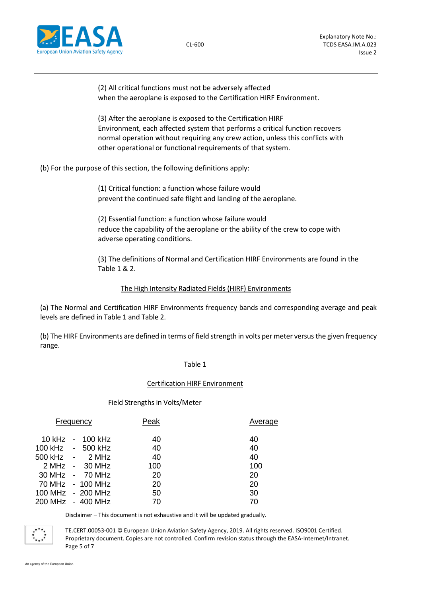

(2) All critical functions must not be adversely affected when the aeroplane is exposed to the Certification HIRF Environment.

(3) After the aeroplane is exposed to the Certification HIRF Environment, each affected system that performs a critical function recovers normal operation without requiring any crew action, unless this conflicts with other operational or functional requirements of that system.

(b) For the purpose of this section, the following definitions apply:

(1) Critical function: a function whose failure would prevent the continued safe flight and landing of the aeroplane.

(2) Essential function: a function whose failure would reduce the capability of the aeroplane or the ability of the crew to cope with adverse operating conditions.

(3) The definitions of Normal and Certification HIRF Environments are found in the Table 1 & 2.

# The High Intensity Radiated Fields (HIRF) Environments

(a) The Normal and Certification HIRF Environments frequency bands and corresponding average and peak levels are defined in Table 1 and Table 2.

(b) The HIRF Environments are defined in terms of field strength in volts per meter versus the given frequency range.

## Table 1

## Certification HIRF Environment

## Field Strengths in Volts/Meter

| Frequency |  |                   | Peak | Average |
|-----------|--|-------------------|------|---------|
|           |  | 10 kHz - 100 kHz  | 40   | 40      |
|           |  | 100 kHz - 500 kHz | 40   | 40      |
|           |  | 500 kHz - 2 MHz   | 40   | 40      |
|           |  | 2 MHz - 30 MHz    | 100  | 100     |
|           |  | 30 MHz - 70 MHz   | 20   | 20      |
|           |  | 70 MHz - 100 MHz  | 20   | 20      |
|           |  | 100 MHz - 200 MHz | 50   | 30      |
|           |  | 200 MHz - 400 MHz | 70   | 70      |

Disclaimer – This document is not exhaustive and it will be updated gradually.



TE.CERT.00053-001 © European Union Aviation Safety Agency, 2019. All rights reserved. ISO9001 Certified. Proprietary document. Copies are not controlled. Confirm revision status through the EASA-Internet/Intranet. Page 5 of 7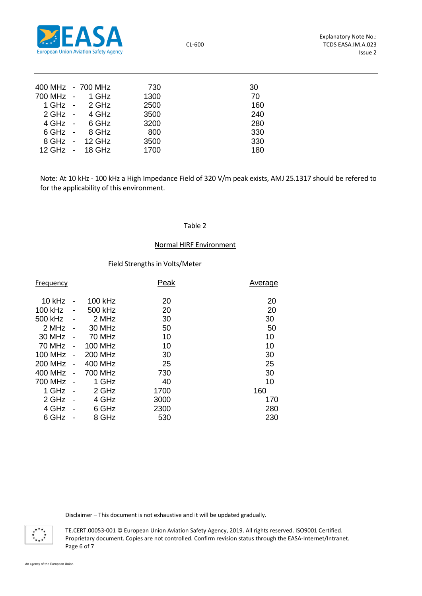

CL-600

| 400 MHz - 700 MHz |                         | 730  | 30  |  |
|-------------------|-------------------------|------|-----|--|
| 700 MHz - 1 GHz   |                         | 1300 | 70  |  |
|                   | 1 GHz - 2 GHz           | 2500 | 160 |  |
|                   | 2 GHz - 4 GHz           | 3500 | 240 |  |
|                   | $4 \text{ GHz}$ - 6 GHz | 3200 | 280 |  |
|                   | 6 GHz - 8 GHz           | 800  | 330 |  |
|                   | 8 GHz - 12 GHz          | 3500 | 330 |  |
|                   | 12 GHz - 18 GHz         | 1700 | 180 |  |

Note: At 10 kHz - 100 kHz a High Impedance Field of 320 V/m peak exists, AMJ 25.1317 should be refered to for the applicability of this environment.

#### Table 2

# Normal HIRF Environment

#### Field Strengths in Volts/Meter

| Frequency      |                              |                | Peak | Average |
|----------------|------------------------------|----------------|------|---------|
|                |                              |                |      |         |
| $10$ kHz       |                              | 100 kHz        | 20   | 20      |
| 100 kHz        | -                            | 500 kHz        | 20   | 20      |
| 500 kHz        |                              | 2 MHz          | 30   | 30      |
| 2 MHz          | $\overline{a}$               | 30 MHz         | 50   | 50      |
| 30 MHz         | $\blacksquare$               | 70 MHz         | 10   | 10      |
| 70 MHz         | $\blacksquare$               | <b>100 MHz</b> | 10   | 10      |
| 100 MHz        | $\blacksquare$               | <b>200 MHz</b> | 30   | 30      |
| <b>200 MHz</b> | $\qquad \qquad \blacksquare$ | 400 MHz        | 25   | 25      |
| 400 MHz        | $\blacksquare$               | 700 MHz        | 730  | 30      |
| 700 MHz        |                              | 1 GHz          | 40   | 10      |
| 1 GHz          | $\blacksquare$               | 2 GHz          | 1700 | 160     |
| 2 GHz          |                              | 4 GHz          | 3000 | 170     |
| 4 GHz          |                              | 6 GHz          | 2300 | 280     |
| 6 GHz          |                              | 8 GHz          | 530  | 230     |
|                |                              |                |      |         |

Disclaimer – This document is not exhaustive and it will be updated gradually.



TE.CERT.00053-001 © European Union Aviation Safety Agency, 2019. All rights reserved. ISO9001 Certified. Proprietary document. Copies are not controlled. Confirm revision status through the EASA-Internet/Intranet. Page 6 of 7